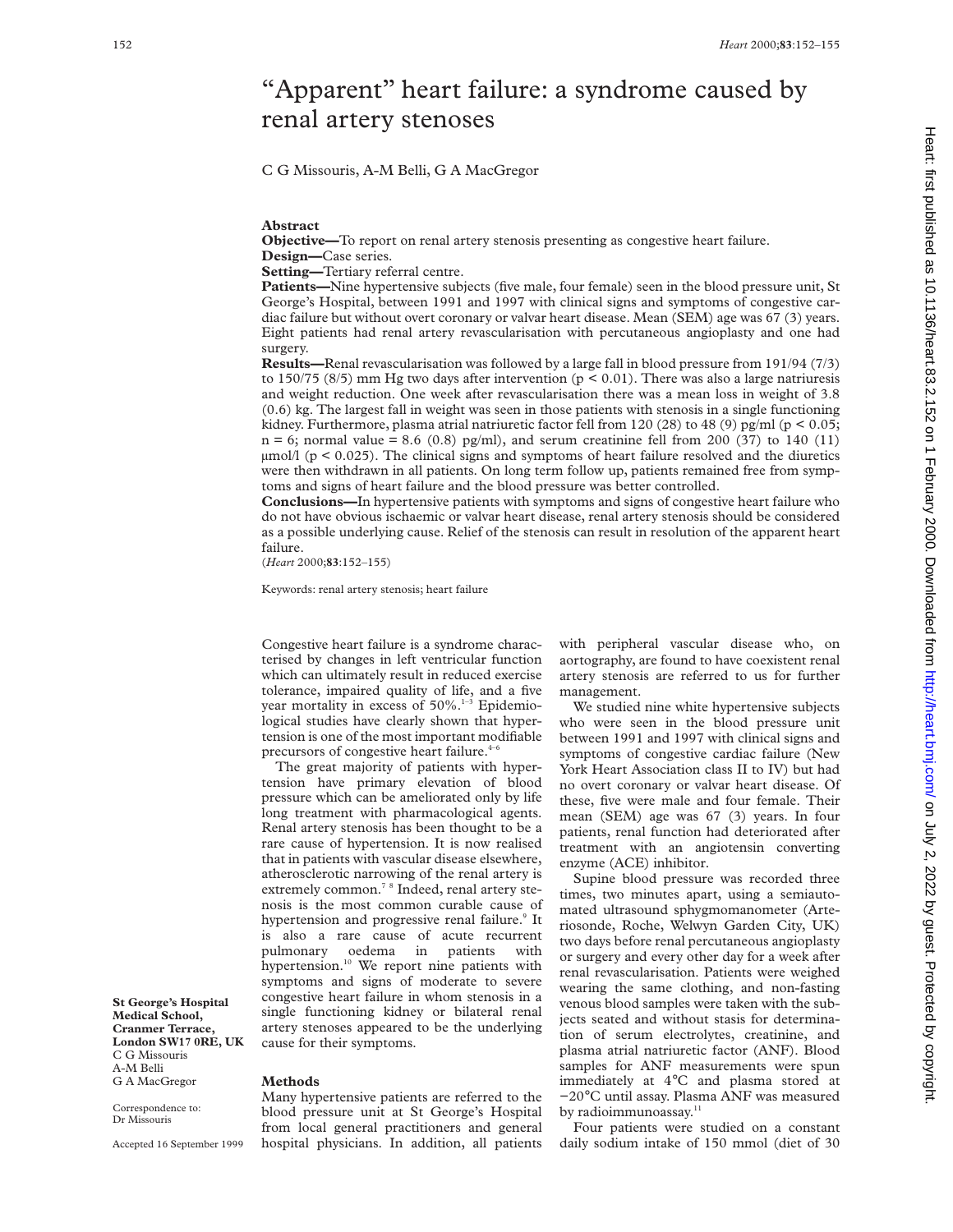# "Apparent" heart failure: a syndrome caused by renal artery stenoses

C G Missouris, A-M Belli, G A MacGregor

#### **Abstract**

**Objective—**To report on renal artery stenosis presenting as congestive heart failure. **Design—**Case series.

**Setting—**Tertiary referral centre.

**Patients—Nine hypertensive subjects (five male, four female) seen in the blood pressure unit, St** George's Hospital, between 1991 and 1997 with clinical signs and symptoms of congestive cardiac failure but without overt coronary or valvar heart disease. Mean (SEM) age was 67 (3) years. Eight patients had renal artery revascularisation with percutaneous angioplasty and one had surgery.

**Results—**Renal revascularisation was followed by a large fall in blood pressure from 191/94 (7/3) to 150/75 (8/5) mm Hg two days after intervention ( $p < 0.01$ ). There was also a large natriuresis and weight reduction. One week after revascularisation there was a mean loss in weight of 3.8 (0.6) kg. The largest fall in weight was seen in those patients with stenosis in a single functioning kidney. Furthermore, plasma atrial natriuretic factor fell from 120 (28) to 48 (9) pg/ml (p < 0.05;  $n = 6$ ; normal value = 8.6 (0.8) pg/ml), and serum creatinine fell from 200 (37) to 140 (11)  $\mu$ mol/l (p < 0.025). The clinical signs and symptoms of heart failure resolved and the diuretics were then withdrawn in all patients. On long term follow up, patients remained free from symptoms and signs of heart failure and the blood pressure was better controlled.

**Conclusions—**In hypertensive patients with symptoms and signs of congestive heart failure who do not have obvious ischaemic or valvar heart disease, renal artery stenosis should be considered as a possible underlying cause. Relief of the stenosis can result in resolution of the apparent heart failure.

(*Heart* 2000;**83**:152–155)

Keywords: renal artery stenosis; heart failure

Congestive heart failure is a syndrome characterised by changes in left ventricular function which can ultimately result in reduced exercise tolerance, impaired quality of life, and a five year mortality in excess of  $50\%$ .<sup>1-3</sup> Epidemiological studies have clearly shown that hypertension is one of the most important modifiable precursors of congestive heart failure.<sup>4-6</sup>

The great majority of patients with hypertension have primary elevation of blood pressure which can be ameliorated only by life long treatment with pharmacological agents. Renal artery stenosis has been thought to be a rare cause of hypertension. It is now realised that in patients with vascular disease elsewhere, atherosclerotic narrowing of the renal artery is extremely common.<sup>7 8</sup> Indeed, renal artery stenosis is the most common curable cause of hypertension and progressive renal failure.<sup>9</sup> It is also a rare cause of acute recurrent pulmonary oedema in patients with hypertension.<sup>10</sup> We report nine patients with symptoms and signs of moderate to severe congestive heart failure in whom stenosis in a single functioning kidney or bilateral renal artery stenoses appeared to be the underlying cause for their symptoms.

**St George's Hospital Medical School, Cranmer Terrace, London SW17 0RE, UK** C G Missouris A-M Belli G A MacGregor

Accepted 16 September 1999

Correspondence to: Dr Missouris

#### **Methods**

Many hypertensive patients are referred to the blood pressure unit at St George's Hospital from local general practitioners and general hospital physicians. In addition, all patients with peripheral vascular disease who, on aortography, are found to have coexistent renal artery stenosis are referred to us for further management.

We studied nine white hypertensive subjects who were seen in the blood pressure unit between 1991 and 1997 with clinical signs and symptoms of congestive cardiac failure (New York Heart Association class II to IV) but had no overt coronary or valvar heart disease. Of these, five were male and four female. Their mean (SEM) age was 67 (3) years. In four patients, renal function had deteriorated after treatment with an angiotensin converting enzyme (ACE) inhibitor.

Supine blood pressure was recorded three times, two minutes apart, using a semiautomated ultrasound sphygmomanometer (Arteriosonde, Roche, Welwyn Garden City, UK) two days before renal percutaneous angioplasty or surgery and every other day for a week after renal revascularisation. Patients were weighed wearing the same clothing, and non-fasting venous blood samples were taken with the subjects seated and without stasis for determination of serum electrolytes, creatinine, and plasma atrial natriuretic factor (ANF). Blood samples for ANF measurements were spun immediately at 4°C and plasma stored at −20°C until assay. Plasma ANF was measured by radioimmunoassay.<sup>11</sup>

Four patients were studied on a constant daily sodium intake of 150 mmol (diet of 30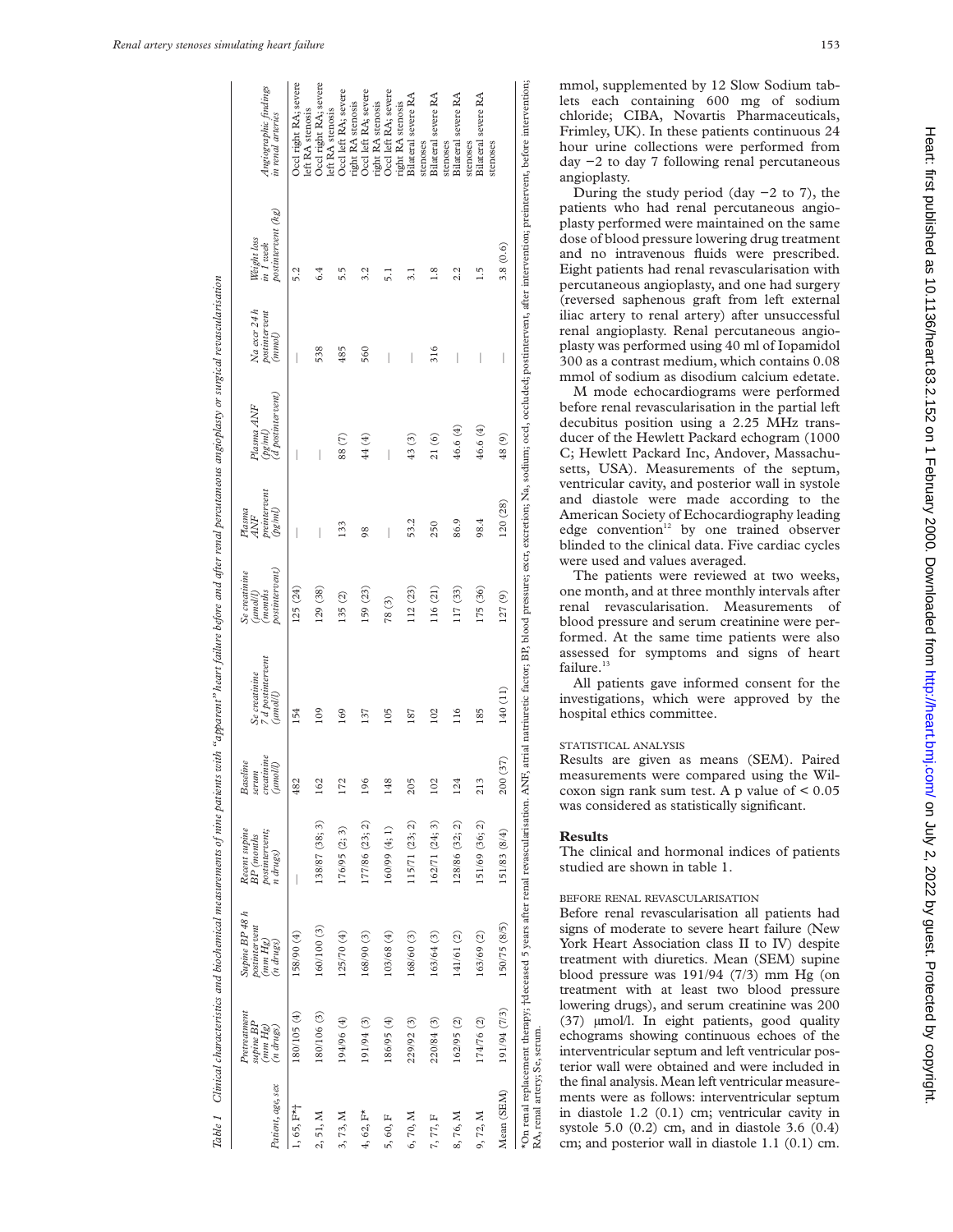| Patient, age, sex                                | Prerearmen<br>supine BP<br>(mm Hg)<br>$(n \, drugs)$ | Supine BP 48 h<br>postintervent<br>(mm Hg)<br>$(n \, drugs)$ | Recent supine<br>postinter vent;<br><b>BP</b> (months<br>n drugs) | serum<br>creatinine<br>(mnoll)<br>Baseline | 7 d postmtervent<br>Se creatinine<br>(umoll) | postnuervent)<br>Se creatinine<br>(months<br>(Jipoun) | preintervent<br>(pg/ml)<br>Plasna<br>ANF | (d postintervent)<br>Plasma ANF<br>(pg/ml) | $Na$ excr $24h$<br>positinervent<br>(mmol) | postintervent (kg)<br>Weight loss<br>in 1 week                                                                                                                                                                                 | Angiographic findings<br>in renal arteries |
|--------------------------------------------------|------------------------------------------------------|--------------------------------------------------------------|-------------------------------------------------------------------|--------------------------------------------|----------------------------------------------|-------------------------------------------------------|------------------------------------------|--------------------------------------------|--------------------------------------------|--------------------------------------------------------------------------------------------------------------------------------------------------------------------------------------------------------------------------------|--------------------------------------------|
| $1, 65, F*$                                      | (4) 50/1081                                          | 158/90 (4)                                                   |                                                                   | 482                                        | 154                                          | 125 (24)                                              | I                                        |                                            |                                            | 5.2                                                                                                                                                                                                                            | Occl right RA; severe                      |
| 2, 51, M                                         | 180/106(3)                                           | 160/100 (3)                                                  | 138/87 (38; 3)                                                    | 162                                        | 109                                          | 129 (38)                                              | I                                        |                                            | 538                                        | 6.4                                                                                                                                                                                                                            | Occl right RA; severe<br>left RA stenosis  |
| 3, 73, M                                         | 194/96 (4)                                           | 125/70(4)                                                    | 176/95 (2; 3)                                                     | 172                                        | 169                                          | 135(2)                                                | 133                                      | 88 (7)                                     | 485                                        | 5.5                                                                                                                                                                                                                            | Occl left RA; severe<br>left RA stenosis   |
| $4, 62, F^*$                                     | 191/94 (3)                                           | 168/90(3)                                                    | 177/86 (23; 2)                                                    | 196                                        | 137                                          | 159 (23)                                              | 98                                       | 44 (4)                                     | 560                                        | 3.2                                                                                                                                                                                                                            | Occl left RA; severe<br>right RA stenosis  |
| 5,60, F                                          | (4) 56/95                                            | 103/68 (4)                                                   | 160/99(4;1)                                                       | 148                                        | 105                                          | 78(3)                                                 | I                                        |                                            |                                            | $\overline{5}$ .                                                                                                                                                                                                               | Occl left RA; severe<br>right RA stenosis  |
| 6,70, M                                          | 229/92 (3)                                           | 168/60(3)                                                    | 15/71(23; 2)                                                      | 205                                        | 187                                          | 112 (23)                                              | 53.2                                     | 43 (3)                                     | I                                          | 3.1                                                                                                                                                                                                                            | Bilateral severe RA<br>right RA stenosis   |
| 7, 77, F                                         | 220/84 (3)                                           | 163/64 (3)                                                   | 162/71 (24; 3)                                                    | 102                                        | 102                                          | 116 (21)                                              | 250                                      | 21(6)                                      | 316                                        | $\frac{8}{1}$                                                                                                                                                                                                                  | Bilateral severe RA<br>stenoses            |
| 8,76, M                                          | 162/95 (2)                                           | 141/61 (2)                                                   | 128/86 (32; 2)                                                    | 124                                        | 116                                          | 117 (33)                                              | 86.9                                     | 46.6 (4)                                   | I                                          | 2.2                                                                                                                                                                                                                            | Bilateral severe RA<br>stenoses            |
| 9,72, M                                          | 174/76 (2)                                           | 163/69 (2)                                                   | 151/69 (36; 2)                                                    | 213                                        | 185                                          | 175 (36)                                              | 98.4                                     | 46.6 (4)                                   | I                                          | $\frac{5}{1}$                                                                                                                                                                                                                  | Bilateral severe RA<br>stenoses            |
| Mean (SEM)                                       | 191/94 (7/3)                                         | 150/75 (8/5)                                                 | 151/83 (8/4)                                                      | (37)<br>200                                | 140 (11)                                     | 127(9)                                                | 120(28)                                  | 48 (9)                                     | I                                          | 3.8(0.6)                                                                                                                                                                                                                       | stenoses                                   |
| $\mathsf{PA}$ ranal artares $\mathsf{Ca}$ carive |                                                      |                                                              |                                                                   |                                            |                                              |                                                       |                                          |                                            |                                            | *On renal replacement therapy; †deceased 5 years after renal revascularisation. ANH, atrial natriuretic factor; BP, blood pressure; excr, excretion; Na, sodium; occl, occluded; postintervent, after intervention; preinterve |                                            |

RA, renal artery; Se, serum.

mmol, supplemented by 12 Slow Sodium tablets each containing 600 mg of sodium chloride; CIBA, Novartis Pharmaceuticals, Frimley, UK). In these patients continuous 24 hour urine collections were performed from day −2 to day 7 following renal percutaneous angioplasty.

During the study period (day  $-2$  to 7), the patients who had renal percutaneous angioplasty performed were maintained on the same dose of blood pressure lowering drug treatment and no intravenous fluids were prescribed. Eight patients had renal revascularisation with percutaneous angioplasty, and one had surgery (reversed saphenous graft from left external iliac artery to renal artery) after unsuccessful renal angioplasty. Renal percutaneous angioplasty was performed using 40 ml of Iopamidol 300 as a contrast medium, which contains 0.08 mmol of sodium as disodium calcium edetate.

M mode echocardiograms were performed before renal revascularisation in the partial left decubitus position using a 2.25 MHz transducer of the Hewlett Packard echogram (1000 C; Hewlett Packard Inc, Andover, Massachusetts, USA). Measurements of the septum, ventricular cavity, and posterior wall in systole and diastole were made according to the American Society of Echocardiography leading edge convention<sup>12</sup> by one trained observer blinded to the clinical data. Five cardiac cycles were used and values averaged.

The patients were reviewed at two weeks, one month, and at three monthly intervals after renal revascularisation. Measurements of blood pressure and serum creatinine were performed. At the same time patients were also assessed for symptoms and signs of heart failure.<sup>13</sup>

All patients gave informed consent for the investigations, which were approved by the hospital ethics committee.

## STATISTICAL ANALYSIS

Results are given as means (SEM). Paired measurements were compared using the Wilcoxon sign rank sum test. A p value of  $\leq 0.05$ was considered as statistically significant.

#### **Results**

The clinical and hormonal indices of patients studied are shown in table 1.

# BEFORE RENAL REVASCULARISATION

Before renal revascularisation all patients had signs of moderate to severe heart failure (New York Heart Association class II to IV) despite treatment with diuretics. Mean (SEM) supine blood pressure was 191/94 (7/3) mm Hg (on treatment with at least two blood pressure lowering drugs), and serum creatinine was 200 (37) µmol/l. In eight patients, good quality echograms showing continuous echoes of the interventricular septum and left ventricular posterior wall were obtained and were included in the final analysis. Mean left ventricular measurements were as follows: interventricular septum in diastole 1.2 (0.1) cm; ventricular cavity in systole 5.0 (0.2) cm, and in diastole 3.6 (0.4) cm; and posterior wall in diastole 1.1 (0.1) cm.

Table 1 - Clinical characteristics and biochemical measurements of nine patients with "apparent" heart failure before and after renal percutaneous angioplasty or surgical revascularisation

lable 1 - Clinical characteristics and biochemical measurements of nine pairents with "apparent" heart failure before and after renal percutaneous angioplasty or surgical revascularisation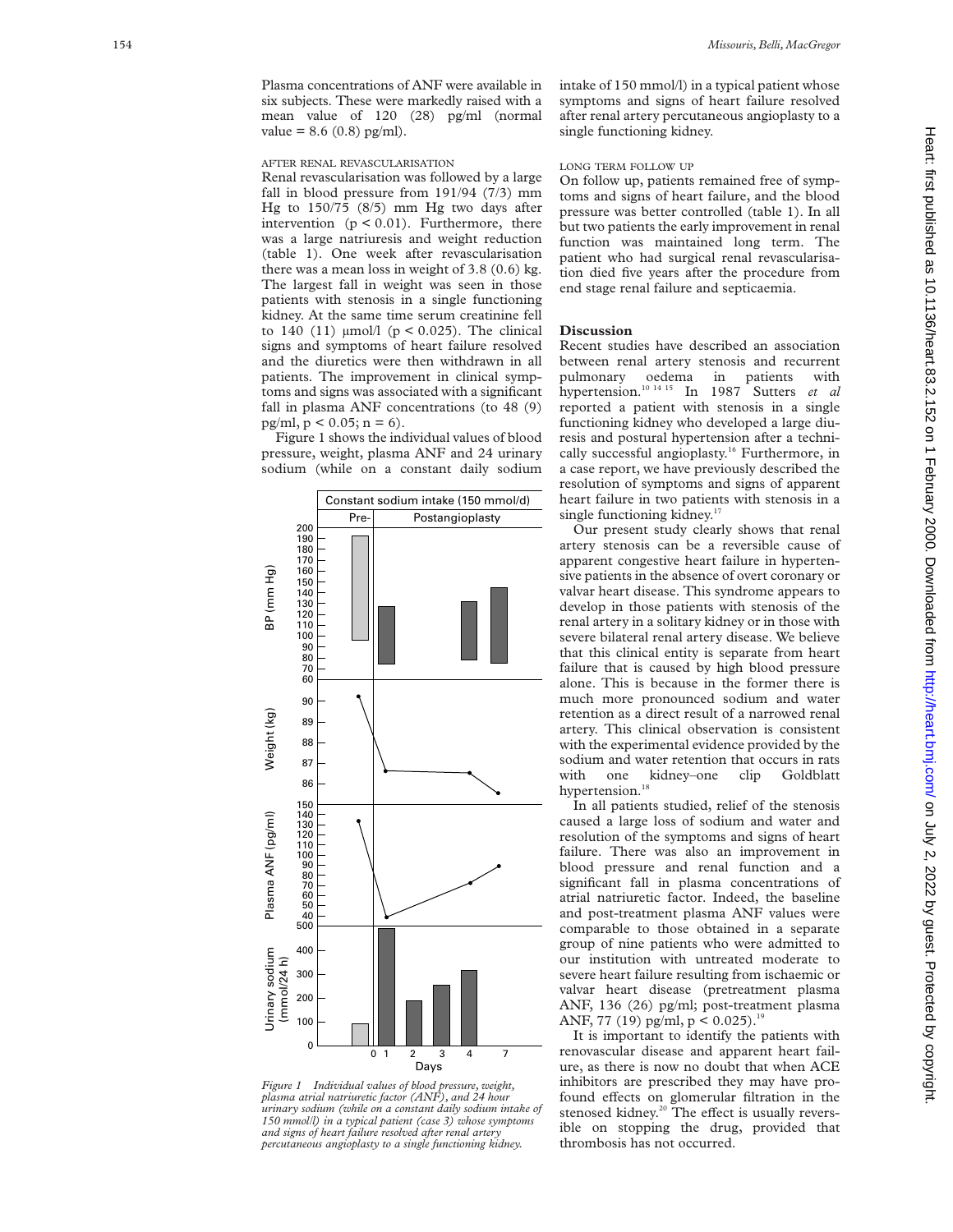Plasma concentrations of ANF were available in six subjects. These were markedly raised with a mean value of 120 (28) pg/ml (normal value = 8.6 (0.8) pg/ml).

### AFTER RENAL REVASCULARISATION

Renal revascularisation was followed by a large fall in blood pressure from 191/94 (7/3) mm Hg to 150/75 (8/5) mm Hg two days after intervention  $(p < 0.01)$ . Furthermore, there was a large natriuresis and weight reduction (table 1). One week after revascularisation there was a mean loss in weight of 3.8 (0.6) kg. The largest fall in weight was seen in those patients with stenosis in a single functioning kidney. At the same time serum creatinine fell to 140 (11)  $\mu$ mol/l (p < 0.025). The clinical signs and symptoms of heart failure resolved and the diuretics were then withdrawn in all patients. The improvement in clinical symptoms and signs was associated with a significant fall in plasma ANF concentrations (to 48 (9) pg/ml,  $p < 0.05$ ;  $n = 6$ ).

Figure 1 shows the individual values of blood pressure, weight, plasma ANF and 24 urinary sodium (while on a constant daily sodium



*Figure 1 Individual values of blood pressure, weight, plasma atrial natriuretic factor (ANF), and 24 hour urinary sodium (while on a constant daily sodium intake of 150 mmol/l) in a typical patient (case 3) whose symptoms and signs of heart failure resolved after renal artery percutaneous angioplasty to a single functioning kidney.*

intake of 150 mmol/l) in a typical patient whose symptoms and signs of heart failure resolved after renal artery percutaneous angioplasty to a single functioning kidney.

## LONG TERM FOLLOW UP

On follow up, patients remained free of symptoms and signs of heart failure, and the blood pressure was better controlled (table 1). In all but two patients the early improvement in renal function was maintained long term. The patient who had surgical renal revascularisation died five years after the procedure from end stage renal failure and septicaemia.

#### **Discussion**

Recent studies have described an association between renal artery stenosis and recurrent pulmonary oedema in patients with hypertension.10 14 15 In 1987 Sutters *et al* reported a patient with stenosis in a single functioning kidney who developed a large diuresis and postural hypertension after a technically successful angioplasty.<sup>16</sup> Furthermore, in a case report, we have previously described the resolution of symptoms and signs of apparent heart failure in two patients with stenosis in a single functioning kidney.<sup>17</sup>

Our present study clearly shows that renal artery stenosis can be a reversible cause of apparent congestive heart failure in hypertensive patients in the absence of overt coronary or valvar heart disease. This syndrome appears to develop in those patients with stenosis of the renal artery in a solitary kidney or in those with severe bilateral renal artery disease. We believe that this clinical entity is separate from heart failure that is caused by high blood pressure alone. This is because in the former there is much more pronounced sodium and water retention as a direct result of a narrowed renal artery. This clinical observation is consistent with the experimental evidence provided by the sodium and water retention that occurs in rats with one kidney–one clip Goldblatt hypertension.<sup>18</sup>

In all patients studied, relief of the stenosis caused a large loss of sodium and water and resolution of the symptoms and signs of heart failure. There was also an improvement in blood pressure and renal function and a significant fall in plasma concentrations of atrial natriuretic factor. Indeed, the baseline and post-treatment plasma ANF values were comparable to those obtained in a separate group of nine patients who were admitted to our institution with untreated moderate to severe heart failure resulting from ischaemic or valvar heart disease (pretreatment plasma ANF, 136 (26) pg/ml; post-treatment plasma ANF, 77 (19) pg/ml,  $p < 0.025$ ).<sup>19</sup>

It is important to identify the patients with renovascular disease and apparent heart failure, as there is now no doubt that when ACE inhibitors are prescribed they may have profound effects on glomerular filtration in the stenosed kidney.<sup>20</sup> The effect is usually reversible on stopping the drug, provided that thrombosis has not occurred.